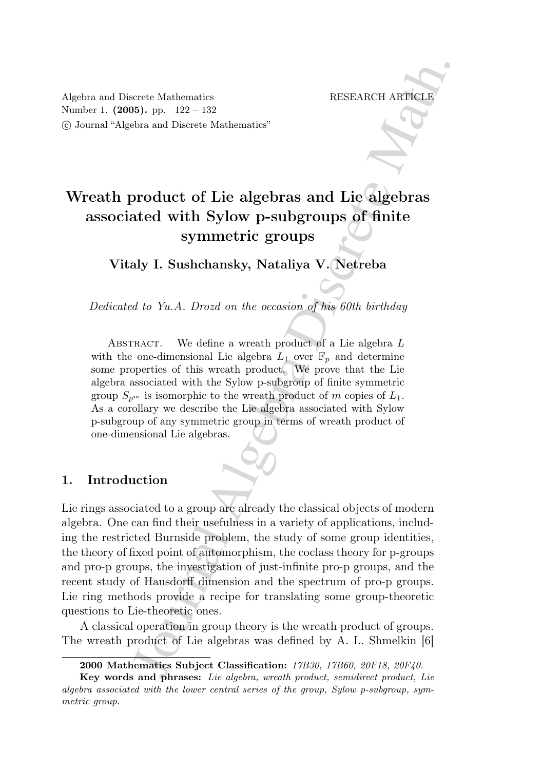Algebra and Discrete Mathematics RESEARCH ARTICLE Number 1. (2005). pp. 122 – 132 c Journal "Algebra and Discrete Mathematics"

# Wreath product of Lie algebras and Lie algebras associated with Sylow p-subgroups of finite symmetric groups

Vitaly I. Sushchansky, Nataliya V. Netreba

Dedicated to Yu.A. Drozd on the occasion of his 60th birthday

ABSTRACT. We define a wreath product of a Lie algebra  $L$ with the one-dimensional Lie algebra  $L_1$  over  $\mathbb{F}_p$  and determine some properties of this wreath product. We prove that the Lie algebra associated with the Sylow p-subgroup of finite symmetric group  $S_{n^m}$  is isomorphic to the wreath product of m copies of  $L_1$ . As a corollary we describe the Lie algebra associated with Sylow p-subgroup of any symmetric group in terms of wreath product of one-dimensional Lie algebras.

### 1. Introduction

RESEARCH ARCHEVIES<br>
RESEARCH ARCHEVES (Follow and Discrete Mathematics"<br>
Droduct of Lie algebras and Lie algebras<br>
and Discrete Mathematics"<br>
Droduct of Lie algebras and Lie algebras<br>
and the Symmetric groups<br>
aly I. Sush Lie rings associated to a group are already the classical objects of modern algebra. One can find their usefulness in a variety of applications, including the restricted Burnside problem, the study of some group identities, the theory of fixed point of automorphism, the coclass theory for p-groups and pro-p groups, the investigation of just-infinite pro-p groups, and the recent study of Hausdorff dimension and the spectrum of pro-p groups. Lie ring methods provide a recipe for translating some group-theoretic questions to Lie-theoretic ones.

A classical operation in group theory is the wreath product of groups. The wreath product of Lie algebras was defined by A. L. Shmelkin [6]

<sup>2000</sup> Mathematics Subject Classification: 17B30, 17B60, 20F18, 20F40.

Key words and phrases: Lie algebra, wreath product, semidirect product, Lie algebra associated with the lower central series of the group, Sylow p-subgroup, symmetric group.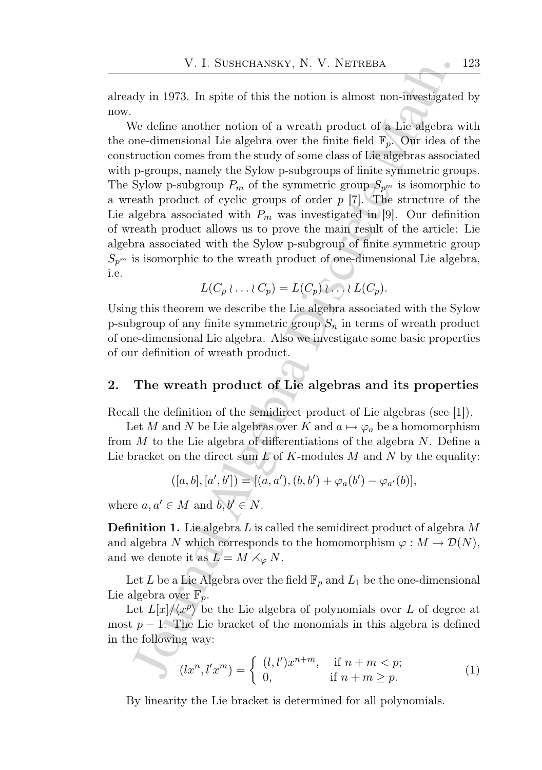already in 1973. In spite of this the notion is almost non-investigated by now.

V. I. SUSHCHANISKY, N. V. NETREBA<br>
dy in 1973. In spite of this the notion is almost non-investigated<br>
We define another notion of a wreath product of a Lie algebra one-<br>
We define another notion of a wreath product of a We define another notion of a wreath product of a Lie algebra with the one-dimensional Lie algebra over the finite field  $\mathbb{F}_p$ . Our idea of the construction comes from the study of some class of Lie algebras associated with p-groups, namely the Sylow p-subgroups of finite symmetric groups. The Sylow p-subgroup  $P_m$  of the symmetric group  $S_{n^m}$  is isomorphic to a wreath product of cyclic groups of order  $p$  [7]. The structure of the Lie algebra associated with  $P_m$  was investigated in [9]. Our definition of wreath product allows us to prove the main result of the article: Lie algebra associated with the Sylow p-subgroup of finite symmetric group  $S_{p^m}$  is isomorphic to the wreath product of one-dimensional Lie algebra, i.e.

$$
L(C_p \wr \ldots \wr C_p) = L(C_p) \wr \ldots \wr L(C_p).
$$

Using this theorem we describe the Lie algebra associated with the Sylow p-subgroup of any finite symmetric group  $S_n$  in terms of wreath product of one-dimensional Lie algebra. Also we investigate some basic properties of our definition of wreath product.

### 2. The wreath product of Lie algebras and its properties

Recall the definition of the semidirect product of Lie algebras (see [1]).

Let M and N be Lie algebras over K and  $a \mapsto \varphi_a$  be a homomorphism from  $M$  to the Lie algebra of differentiations of the algebra  $N$ . Define a Lie bracket on the direct sum  $L$  of K-modules M and N by the equality:

$$
([a, b], [a', b']) = [(a, a'), (b, b') + \varphi_a(b') - \varphi_{a'}(b)],
$$

where  $a, a' \in M$  and  $b, b' \in N$ .

**Definition 1.** Lie algebra L is called the semidirect product of algebra  $M$ and algebra N which corresponds to the homomorphism  $\varphi: M \to \mathcal{D}(N)$ , and we denote it as  $L = M \times_{\varphi} N$ .

Let L be a Lie Algebra over the field  $\mathbb{F}_p$  and  $L_1$  be the one-dimensional Lie algebra over  $\mathbb{F}_p$ .

Let  $L[x]/\langle x^p \rangle$  be the Lie algebra of polynomials over L of degree at most  $p-1$ . The Lie bracket of the monomials in this algebra is defined in the following way:

$$
\begin{cases}\n(lx^n, l'x^m) = \n\begin{cases}\n(l, l')x^{n+m}, & \text{if } n+m < p; \\
0, & \text{if } n+m \ge p.\n\end{cases}\n\end{cases}
$$
\n(1)

By linearity the Lie bracket is determined for all polynomials.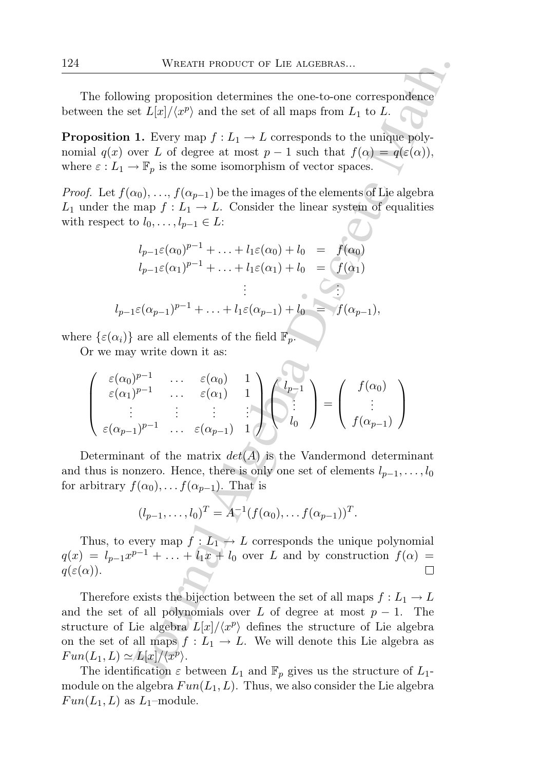The following proposition determines the one-to-one correspondence between the set  $L[x]/\langle x^p \rangle$  and the set of all maps from  $L_1$  to L.

**Proposition 1.** Every map  $f: L_1 \to L$  corresponds to the unique polynomial  $q(x)$  over L of degree at most  $p-1$  such that  $f(\alpha) = q(\varepsilon(\alpha))$ , where  $\varepsilon : L_1 \to \mathbb{F}_p$  is the some isomorphism of vector spaces.

*Proof.* Let  $f(\alpha_0), \ldots, f(\alpha_{p-1})$  be the images of the elements of Lie algebra  $L_1$  under the map  $f: L_1 \to L$ . Consider the linear system of equalities with respect to  $l_0, \ldots, l_{p-1} \in L$ :

$$
l_{p-1}\varepsilon(\alpha_0)^{p-1} + \ldots + l_1\varepsilon(\alpha_0) + l_0 = f(\alpha_0)
$$
  
\n
$$
l_{p-1}\varepsilon(\alpha_1)^{p-1} + \ldots + l_1\varepsilon(\alpha_1) + l_0 = f(\alpha_1)
$$
  
\n
$$
\vdots
$$
  
\n
$$
l_{p-1}\varepsilon(\alpha_{p-1})^{p-1} + \ldots + l_1\varepsilon(\alpha_{p-1}) + l_0 = f(\alpha_{p-1}),
$$

where  $\{\varepsilon(\alpha_i)\}\)$  are all elements of the field  $\mathbb{F}_p$ .

Or we may write down it as:

$$
\begin{pmatrix}\n\varepsilon(\alpha_0)^{p-1} & \dots & \varepsilon(\alpha_0) & 1 \\
\varepsilon(\alpha_1)^{p-1} & \dots & \varepsilon(\alpha_1) & 1 \\
\vdots & \vdots & \vdots & \vdots \\
\varepsilon(\alpha_{p-1})^{p-1} & \dots & \varepsilon(\alpha_{p-1}) & 1\n\end{pmatrix}\n\begin{pmatrix}\nl_{p-1} \\
\vdots \\
l_0\n\end{pmatrix} =\n\begin{pmatrix}\nf(\alpha_0) \\
\vdots \\
f(\alpha_{p-1})\n\end{pmatrix}
$$

Determinant of the matrix  $det(A)$  is the Vandermond determinant and thus is nonzero. Hence, there is only one set of elements  $l_{p-1}, \ldots, l_0$ for arbitrary  $f(\alpha_0), \ldots, f(\alpha_{p-1})$ . That is

$$
(l_{p-1},\ldots,l_0)^T = A^{-1}(f(\alpha_0),\ldots f(\alpha_{p-1}))^T.
$$

Thus, to every map  $f: L_1 \to L$  corresponds the unique polynomial  $q(x) = l_{p-1}x^{p-1} + \ldots + l_1x + l_0$  over L and by construction  $f(\alpha) =$  $q(\varepsilon(\alpha)).$ 

WHEATH PRODUCT OF LIE ALGEBRAS...<br>
ving proposition determines the one-to-one correspondence<br>
tell, $[x]/\langle x^p \rangle$  and the set of all maps from  $L_1$  to  $L$ .<br>
1. Every map  $f: L_1 \rightarrow L$  corresponds to the unique poly-<br>
ver  $L$  o Therefore exists the bijection between the set of all maps  $f: L_1 \to L$ and the set of all polynomials over L of degree at most  $p-1$ . The structure of Lie algebra  $L[x]/\langle x^p \rangle$  defines the structure of Lie algebra on the set of all maps  $f : L_1 \to L$ . We will denote this Lie algebra as  $Fun(L_1, L) \simeq L[x]/\langle x^p \rangle.$ 

The identification  $\varepsilon$  between  $L_1$  and  $\mathbb{F}_p$  gives us the structure of  $L_1$ module on the algebra  $Fun(L_1, L)$ . Thus, we also consider the Lie algebra  $Fun(L_1,L)$  as  $L_1$ -module.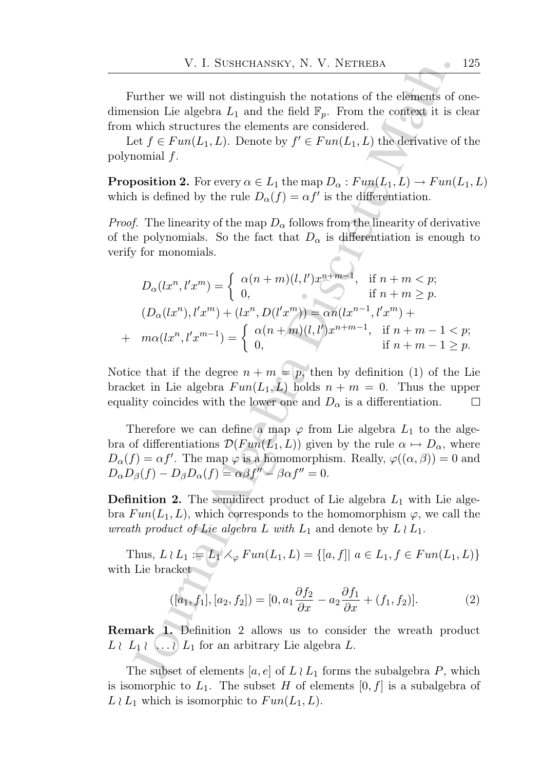Further we will not distinguish the notations of the elements of onedimension Lie algebra  $L_1$  and the field  $\mathbb{F}_p$ . From the context it is clear from which structures the elements are considered.

Let  $f \in Fun(L_1, L)$ . Denote by  $f' \in Fun(L_1, L)$  the derivative of the polynomial f.

**Proposition 2.** For every  $\alpha \in L_1$  the map  $D_{\alpha}: Fun(L_1, L) \rightarrow Fun(L_1, L)$ which is defined by the rule  $D_{\alpha}(f) = \alpha f'$  is the differentiation.

*Proof.* The linearity of the map  $D_{\alpha}$  follows from the linearity of derivative of the polynomials. So the fact that  $D_{\alpha}$  is differentiation is enough to verify for monomials.

V. I. SUSHCHANSKY, N. V. NETREBA  
\nFurther we will not distinguish the notations of the elements of on  
\nnension Lie algebra 
$$
L_1
$$
 and the field  $\mathbb{F}_p$ . From the context it is cle-  
\nment which structures the elements are considered.  
\nLet  $f \in Fin(L_1, L)$ . Denote by  $f' \in Fun(L_1, L)$  the derivative of t  
\nlynomial  $f$ .  
\n**oposition 2.** For every  $\alpha \in L_1$  the map  $D_{\alpha} : Fun(L_1, L) \rightarrow Fun(L_1)$   
\nwhich is defined by the rule  $D_{\alpha}(f) = \alpha f'$  is the differentiation.  
\n*oof.* The linearity of the map  $D_{\alpha}$  follows from the linearity of derivation  
\n $g$  for monomials. So the fact that  $D_{\alpha}$  is differentiation is enough  
\nrify for monomials.  
\n
$$
D_{\alpha}(lx^n, l'x^m) = \begin{cases} \alpha(n+m)(l, l')x^{n+m-1}, & \text{if } n+m < p; \\ 0, & \text{if } n+m \ge p. \end{cases}
$$
  
\n $(D_{\alpha}(lx^n, l'x^m) + (lx^n, D(l'x^m)) = \alpha n(lx^{n-1}, l'x^m) +$   
\n $+ ma(lx^n, l'x^{m-1}) = \begin{cases} \alpha(n+m)(l, l')x^{n+m-1}, & \text{if } n+m-1 < p; \\ 0, & \text{if } n+m-1 \ge p. \end{cases}$   
\n $h$  to the  $l$  at the degree  $n + m \equiv p$ , then by definition (1) of the L  
\nacket at if the degree  $n + m \equiv p$ , then by definition (1) of the L  
\nchecket in Lie algebra  $Fun(L_1, L)$  holds  $n + m = 0$ . Thus the upp  
\n $h$  and of differentiations  $\mathcal{D}(Fun(L_1, L))$  given by the rule  $\alpha \mapsto D_{\alpha}$ , where  $\alpha \mapsto D_{\alpha}$ , we  
\n $h$  of differentiations  $\mathcal{D}(Fun(L_1, L))$  given by the rule  $\alpha \mapsto D_{\alpha}$ , we  
\n $h$  of differentiations  $\mathcal{D}(Fun(L_1, L))$  given by the rule  $\alpha \$ 

Notice that if the degree  $n + m = p$ , then by definition (1) of the Lie bracket in Lie algebra  $Fun(L_1, L)$  holds  $n + m = 0$ . Thus the upper equality coincides with the lower one and  $D_{\alpha}$  is a differentiation.  $\Box$ 

Therefore we can define a map  $\varphi$  from Lie algebra  $L_1$  to the algebra of differentiations  $\mathcal{D}(Fun(L_1,L))$  given by the rule  $\alpha \mapsto D_{\alpha}$ , where  $D_{\alpha}(f) = \alpha f'$ . The map  $\varphi$  is a homomorphism. Really,  $\varphi((\alpha, \beta)) = 0$  and  $D_{\alpha}D_{\beta}(f) - D_{\beta}D_{\alpha}(f) = \alpha\beta f'' - \beta\alpha f'' = 0.$ 

**Definition 2.** The semidirect product of Lie algebra  $L_1$  with Lie algebra  $Fun(L_1, L)$ , which corresponds to the homomorphism  $\varphi$ , we call the wreath product of Lie algebra L with  $L_1$  and denote by  $L \wr L_1$ .

Thus,  $L \wr L_1 := L_1 \times_{\varphi} Fun(L_1, L) = \{ [a, f] | a \in L_1, f \in Fun(L_1, L) \}$ with Lie bracket

$$
([a_1, f_1], [a_2, f_2]) = [0, a_1 \frac{\partial f_2}{\partial x} - a_2 \frac{\partial f_1}{\partial x} + (f_1, f_2)].
$$
\n(2)

Remark 1. Definition 2 allows us to consider the wreath product  $L \wr L_1 \wr \ldots \wr L_1$  for an arbitrary Lie algebra L.

The subset of elements [a, e] of  $L \setminus L_1$  forms the subalgebra P, which is isomorphic to  $L_1$ . The subset H of elements  $[0, f]$  is a subalgebra of  $L \wr L_1$  which is isomorphic to  $Fun(L_1, L)$ .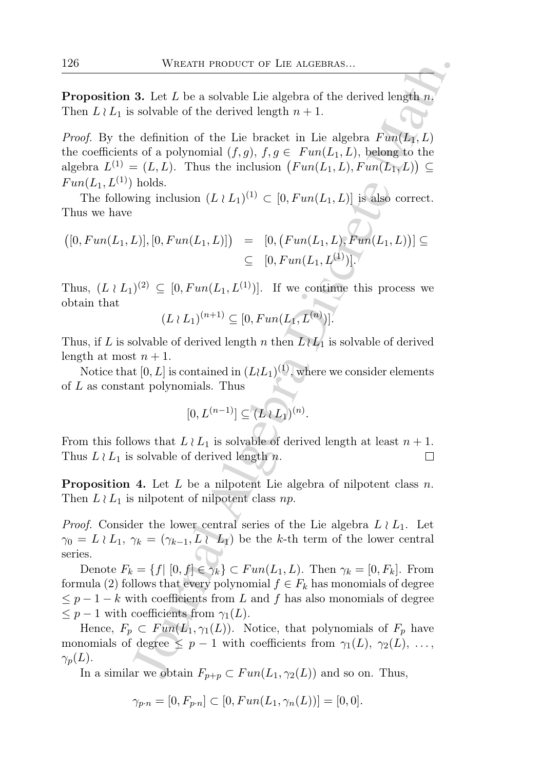**Proposition 3.** Let L be a solvable Lie algebra of the derived length n. Then  $L \wr L_1$  is solvable of the derived length  $n + 1$ .

WHEATH PRODUCT OF LIE ALGEBRAS...<br>
3. Let L be a solvable Lie algebra of the derived length  $n$ ,<br>
solvable of the derived length  $n + 1$ .<br>
e definition of the Lie bracket in Lie algebra  $Find(f_1, L)$ , belong to the<br>  $=(L, L)$ . T *Proof.* By the definition of the Lie bracket in Lie algebra  $Fun(L_1, L)$ the coefficients of a polynomial  $(f, g)$ ,  $f, g \in Fun(L_1, L)$ , belong to the algebra  $L^{(1)} = (L, L)$ . Thus the inclusion  $(Fun(L_1, L), Fun(L_1, L)) \subseteq$  $Fun(L_1, L^{(1)})$  holds.

The following inclusion  $(L \wr L_1)^{(1)} \subset [0, Fun(L_1, L)]$  is also correct. Thus we have

$$
([0, Fun(L1, L)], [0, Fun(L1, L)]) = [0, (Fun(L1, L), Fun(L1, L))] \subseteq
$$
  

$$
\subseteq [0, Fun(L1, L(1))].
$$

Thus,  $(L \wr L_1)^{(2)} \subseteq [0, Fun(L_1, L^{(1)})]$ . If we continue this process we obtain that

$$
(L L_1)^{(n+1)} \subseteq [0, Fun(L_1, L^{(n)})].
$$

Thus, if L is solvable of derived length n then  $L\mathcal{U}_1$  is solvable of derived length at most  $n + 1$ .

Notice that  $[0,L]$  is contained in  $(L(L_1)^{(1)},$  where we consider elements of  $L$  as constant polynomials. Thus

$$
[0,L^{(n-1)}]\subseteq (L\wr L_1)^{(n)}.
$$

From this follows that  $L \wr L_1$  is solvable of derived length at least  $n + 1$ . Thus  $L \wr L_1$  is solvable of derived length n.

**Proposition 4.** Let  $L$  be a nilpotent Lie algebra of nilpotent class  $n$ . Then  $L \wr L_1$  is nilpotent of nilpotent class np.

*Proof.* Consider the lower central series of the Lie algebra  $L \wr L_1$ . Let  $\gamma_0 = L \wr L_1$ ,  $\gamma_k = (\gamma_{k-1}, L \wr L_1)$  be the k-th term of the lower central series.

Denote  $F_k = \{f | [0, f] \in \gamma_k\} \subset Fun(L_1, L)$ . Then  $\gamma_k = [0, F_k]$ . From formula (2) follows that every polynomial  $f \in F_k$  has monomials of degree  $\leq p-1-k$  with coefficients from L and f has also monomials of degree  $\leq p-1$  with coefficients from  $\gamma_1(L)$ .

Hence,  $F_p \subset Fun(L_1, \gamma_1(L))$ . Notice, that polynomials of  $F_p$  have monomials of degree  $\leq p-1$  with coefficients from  $\gamma_1(L)$ ,  $\gamma_2(L)$ , ...,  $\gamma_p(L)$ .

In a similar we obtain  $F_{p+p} \subset Fun(L_1, \gamma_2(L))$  and so on. Thus,

 $\gamma_{n:n} = [0, F_{n:n}] \subset [0, Fun(L_1, \gamma_n(L))] = [0, 0].$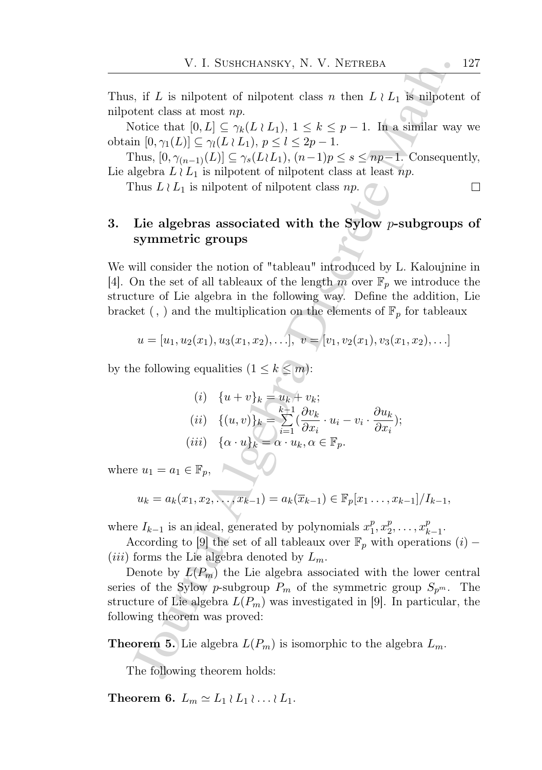Thus, if L is nilpotent of nilpotent class n then  $L \wr L_1$  is nilpotent of nilpotent class at most np.

Notice that  $[0, L] \subseteq \gamma_k(L \setminus L_1), 1 \leq k \leq p-1$ . In a similar way we obtain  $[0, \gamma_1(L)] \subseteq \gamma_l(L \wr L_1), p \leq l \leq 2p-1.$ 

Thus,  $[0, \gamma_{n-1}(L)] \subseteq \gamma_s(L \setminus L_1), (n-1)p \leq s \leq np-1$ . Consequently, Lie algebra  $L \wr L_1$  is nilpotent of nilpotent class at least  $np$ .

Thus  $L \wr L_1$  is nilpotent of nilpotent class  $np$ .

#### $\Box$

### 3. Lie algebras associated with the Sylow  $p$ -subgroups of symmetric groups

We will consider the notion of "tableau" introduced by L. Kaloujnine in [4]. On the set of all tableaux of the length m over  $\mathbb{F}_p$  we introduce the structure of Lie algebra in the following way. Define the addition, Lie bracket (, ) and the multiplication on the elements of  $\mathbb{F}_p$  for tableaux

$$
u = [u_1, u_2(x_1), u_3(x_1, x_2), \ldots], \ v = [v_1, v_2(x_1), v_3(x_1, x_2), \ldots]
$$

by the following equalities  $(1 \leq k \leq m)$ :

(i) 
$$
\{u+v\}_k = u_k + v_k;
$$
  
\n(ii) 
$$
\{(u,v)\}_k = \sum_{i=1}^{k-1} (\frac{\partial v_k}{\partial x_i} \cdot u_i - v_i \cdot \frac{\partial u_k}{\partial x_i});
$$
  
\n(iii) 
$$
\{\alpha \cdot u\}_k = \alpha \cdot u_k, \alpha \in \mathbb{F}_p.
$$

where  $u_1 = a_1 \in \mathbb{F}_p$ ,

$$
u_k = a_k(x_1, x_2, \ldots, x_{k-1}) = a_k(\overline{x}_{k-1}) \in \mathbb{F}_p[x_1, \ldots, x_{k-1}]/I_{k-1},
$$

where  $I_{k-1}$  is an ideal, generated by polynomials  $x_1^p$  $_{1}^{p}$ ,  $x_{2}^{p}$  $x_2^p, \ldots, x_k^p$  $_{k-1}^{p}$ .

According to [9] the set of all tableaux over  $\mathbb{F}_p$  with operations  $(i)$  – (*iii*) forms the Lie algebra denoted by  $L_m$ .

V. I. SUSHCHANESKY, N. V. NETREBA<br>
it I is nilpotent of nilpotent class *n* then  $L \wr L_1$  is nilpotent<br>
then  $l_2$  is nilpotent of nilpotent class at most  $\eta$ .<br>
Volvion then  $L \lor L_1$  is nilpotent of the satural way<br>
in [ Denote by  $L(P_m)$  the Lie algebra associated with the lower central series of the Sylow p-subgroup  $P_m$  of the symmetric group  $S_{p^m}$ . The structure of Lie algebra  $L(P_m)$  was investigated in [9]. In particular, the following theorem was proved:

**Theorem 5.** Lie algebra  $L(P_m)$  is isomorphic to the algebra  $L_m$ .

The following theorem holds:

Theorem 6.  $L_m \simeq L_1 \wr L_1 \wr \ldots \wr L_1$ .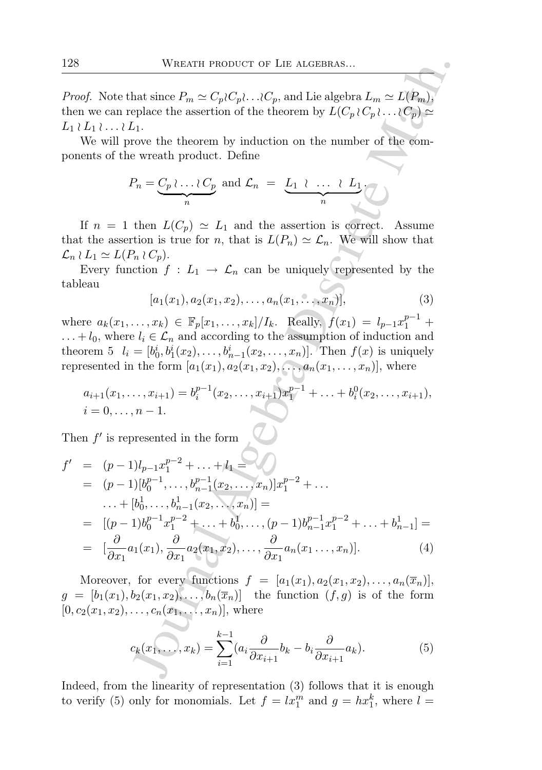*Proof.* Note that since  $P_m \simeq C_p \wr C_p \wr \ldots \wr C_p$ , and Lie algebra  $L_m \simeq L(P_m)$ , then we can replace the assertion of the theorem by  $L(C_p \wr C_p \wr \ldots \wr C_p) \simeq$  $L_1 \wr L_1 \wr \ldots \wr L_1$ .

We will prove the theorem by induction on the number of the components of the wreath product. Define

$$
P_n = \underbrace{C_p \wr \ldots \wr C_p}_{n} \text{ and } \mathcal{L}_n = \underbrace{L_1 \lor \ldots \lor L_1}_{n}.
$$

If  $n = 1$  then  $L(C_p) \simeq L_1$  and the assertion is correct. Assume that the assertion is true for n, that is  $L(P_n) \simeq \mathcal{L}_n$ . We will show that  $\mathcal{L}_n \wr L_1 \simeq L(P_n \wr C_p).$ 

Every function  $f: L_1 \to \mathcal{L}_n$  can be uniquely represented by the tableau

$$
[a_1(x_1), a_2(x_1, x_2), \dots, a_n(x_1, \dots, x_n)], \qquad (3)
$$

where  $a_k(x_1,...,x_k) \in \mathbb{F}_p[x_1,...,x_k]/I_k$ . Really,  $f(x_1) = l_{p-1}x_1^{p-1}$  +  $\dots + l_0$ , where  $l_i \in \mathcal{L}_n$  and according to the assumption of induction and theorem 5  $l_i = [b_0^i, b_1^i(x_2), \dots, b_{n-1}^i(x_2, \dots, x_n)]$ . Then  $f(x)$  is uniquely represented in the form  $[a_1(x_1), a_2(x_1, x_2), \ldots, a_n(x_1, \ldots, x_n)],$  where

$$
a_{i+1}(x_1,\ldots,x_{i+1}) = b_i^{p-1}(x_2,\ldots,x_{i+1})x_1^{p-1} + \ldots + b_i^0(x_2,\ldots,x_{i+1}),
$$
  
\n $i = 0,\ldots,n-1.$ 

Then  $f'$  is represented in the form

128 **IDENTIFY** PROUCT OF LIE ALGEBRAS...  
\nProof. Note that since 
$$
P_m \approx C_p(C_p \dots C_p)
$$
, and Lie algebra  $L_m \approx L(P_m)$ ,  
\nthen we can replace the assertion of the theorem by  $L(C_p \wr C_p \dots \wr C_p) \approx$   
\n $L_1 \wr L_1 \dots \wr L_1$ .  
\nWe will prove the theorem by induction on the number of the com-  
\nponents of the we  
\nponents of the vector in by induction on the number of the com-  
\nponents of the vector is the product. Define  
\n
$$
P_n = \underbrace{C_p \wr \dots \wr C_p}_{n} \text{ and } \mathcal{L}_n = \underbrace{L_1 \wr \dots \wr L_1}_{n}
$$
\nIf  $n = 1$  then  $L(C_p) \approx L_1$  and the assertion is correct. Assume  
\nthat the assertion is true for n, that is  $L(P_n) \approx \mathcal{L}_n$ . We will show that  
\n $\mathcal{L}_n \wr L_1 \simeq L(P_n \wr C_p)$ .  
\nEvery function  $f : L_1 \rightarrow \mathcal{L}_n$  can be uniquely represented by the  
\ntableau  
\n
$$
[a_1(x_1), a_2(x_1, x_2), \dots, a_n(x_1, \dots, x_n)],
$$
\n(3)  
\nwhere  $a_k(x_1, \dots, x_k) \in \mathbb{F}_p[x_1, \dots, x_k]/I_k$ . Really,  $f(x_1) = l_{p-1}x_1^{p-1} +$   
\n $\dots + l_0$ , where  $l_i \in \mathcal{L}_n$  and according to the assumption of induction and  
\ntheorem 5  $l_i = [b_0^i, b_1^i(x_2), \dots, b_{n-1}^i(x_2, \dots, x_n)]$ . Then  $f(x)$  is uniquely  
\nrepresented in the form  
\n
$$
a_{i+1}(x_1, \dots, x_{i+1}) = b_i^{p-1}(x_2, \dots, x_{i+1})x_i^{p-1} + \dots + b_i^0(x_2, \dots, x_{i+1}),
$$
  
\n $i = 0, \dots, n - 1$ .  
\nThen  $f'$  is represented in the form  
\n
$$
f' = (p-1)[b_0^{p-1}, \dots, b_{n-1}^{p-1}(x_2, \
$$

Moreover, for every functions  $f = [a_1(x_1), a_2(x_1, x_2), \ldots, a_n(\overline{x}_n)],$  $g = [b_1(x_1), b_2(x_1, x_2), \ldots, b_n(\overline{x}_n)]$  the function  $(f, g)$  is of the form  $[0, c_2(x_1, x_2), \ldots, c_n(x_1, \ldots, x_n)],$  where

$$
c_k(x_1,...,x_k) = \sum_{i=1}^{k-1} (a_i \frac{\partial}{\partial x_{i+1}} b_k - b_i \frac{\partial}{\partial x_{i+1}} a_k).
$$
 (5)

Indeed, from the linearity of representation (3) follows that it is enough to verify (5) only for monomials. Let  $f = lx_1^m$  and  $g = hx_1^k$ , where  $l =$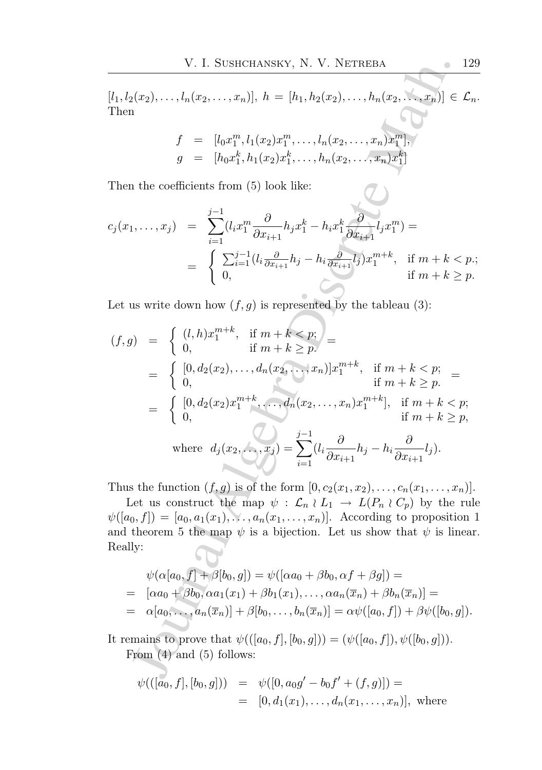$[l_1, l_2(x_2), \ldots, l_n(x_2, \ldots, x_n)], h = [h_1, h_2(x_2), \ldots, h_n(x_2, \ldots, x_n)] \in \mathcal{L}_n.$ Then

$$
f = [l_0 x_1^m, l_1(x_2) x_1^m, \dots, l_n(x_2, \dots, x_n) x_1^m],
$$
  
\n
$$
g = [h_0 x_1^k, h_1(x_2) x_1^k, \dots, h_n(x_2, \dots, x_n) x_1^k]
$$

Then the coefficients from (5) look like:

$$
c_j(x_1,\ldots,x_j) = \sum_{i=1}^{j-1} (l_i x_1^m \frac{\partial}{\partial x_{i+1}} h_j x_1^k - h_i x_1^k \frac{\partial}{\partial x_{i+1}} l_j x_1^m) =
$$
  
= 
$$
\begin{cases} \sum_{i=1}^{j-1} (l_i \frac{\partial}{\partial x_{i+1}} h_j - h_i \frac{\partial}{\partial x_{i+1}} l_j) x_1^{m+k}, & \text{if } m+k < p; \\ 0, & \text{if } m+k \ge p. \end{cases}
$$

Let us write down how  $(f, g)$  is represented by the tableau (3):

V. I. SUBICHANSKY, N. V. NETREBA  
\n
$$
[l_1, l_2(x_2), \ldots, l_n(x_2, \ldots, x_n)], h = [h_1, h_2(x_2), \ldots, h_n(x_2, \ldots, x_n)] \in L
$$
\nThen  
\n
$$
f = [l_0x_1^m, l_1(x_2)x_1^m, \ldots, l_n(x_2, \ldots, x_n)x_1^m],
$$
\n
$$
g = [h_0x_1^k, h_1(x_2)x_1^k, \ldots, h_n(x_2, \ldots, x_n)x_1^k]
$$
\nThen the coefficients from (5) look like:  
\n
$$
c_j(x_1, \ldots, x_j) = \sum_{i=1}^{j-1} (l_i x_1^m \frac{\partial}{\partial x_{i+1}} h_j x_1^k - h_i x_1^k \frac{\partial}{\partial x_{i+1}} l_j x_1^m) =
$$
\n
$$
= \begin{cases} \sum_{i=1}^{j-1} (l_i \frac{\partial}{\partial x_{i+1}} h_j - h_i \frac{\partial}{\partial x_{i+1}} l_j x_1^{m+k}, & \text{if } m+k \leq 1 \\ 0, & \text{if } m+k \geq 1 \end{cases}
$$
\nLet us write down how  $(f, g)$  is represented by the tableau (3):  
\n
$$
(f, g) = \begin{cases} (l, h)x_1^{m+k}, & \text{if } m+k \leq p; \\ 0, & \text{if } m+k \geq p. \end{cases} =
$$
\n
$$
= \begin{cases} [0, d_2(x_2), \ldots, d_n(x_2, \ldots, x_n)]x_1^{m+k}, & \text{if } m+k < p; \\ 0, & \text{if } m+k \geq p, \end{cases}
$$
\n
$$
= \begin{cases} [0, d_2(x_2), \ldots, d_n(x_2, \ldots, x_n)]x_1^{m+k}, & \text{if } m+k < p; \\ 0, & \text{if } m+k \geq p, \end{cases}
$$
\n
$$
= \begin{cases} [0, d_2(x_2), \ldots, d_n(x_2, \ldots, x_n)]x_1^{m+k}, & \text{if } m+k < p; \\ 0, & \text{if } m+k \geq p, \end{cases}
$$
\n<math display="block</p>

where 
$$
d_j(x_2,...,x_j) = \sum_{i=1}^{J-1} (l_i \frac{\partial}{\partial x_{i+1}} h_j - h_i \frac{\partial}{\partial x_{i+1}} l_j).
$$

Thus the function  $(f, g)$  is of the form  $[0, c_2(x_1, x_2), \ldots, c_n(x_1, \ldots, x_n)].$ 

Let us construct the map  $\psi : \mathcal{L}_n \wr L_1 \to L(P_n \wr C_p)$  by the rule  $\psi([a_0, f]) = [a_0, a_1(x_1), \ldots, a_n(x_1, \ldots, x_n)].$  According to proposition 1 and theorem 5 the map  $\psi$  is a bijection. Let us show that  $\psi$  is linear. Really:

$$
\psi(\alpha[a_0, f] + \beta[b_0, g]) = \psi([\alpha a_0 + \beta b_0, \alpha f + \beta g]) =
$$
  
=  $[\alpha a_0 + \beta b_0, \alpha a_1(x_1) + \beta b_1(x_1), \dots, \alpha a_n(\overline{x}_n) + \beta b_n(\overline{x}_n)] =$   
=  $\alpha[a_0, \dots, a_n(\overline{x}_n)] + \beta[b_0, \dots, b_n(\overline{x}_n)] = \alpha \psi([a_0, f]) + \beta \psi([b_0, g]).$ 

It remains to prove that  $\psi(([a_0, f], [b_0, g])) = (\psi([a_0, f]), \psi([b_0, g])).$ From (4) and (5) follows:

$$
\psi(([a_0, f], [b_0, g])) = \psi([0, a_0g' - b_0f' + (f, g)]) =
$$
  
= [0, d<sub>1</sub>(x<sub>1</sub>),..., d<sub>n</sub>(x<sub>1</sub>,...,x<sub>n</sub>)], where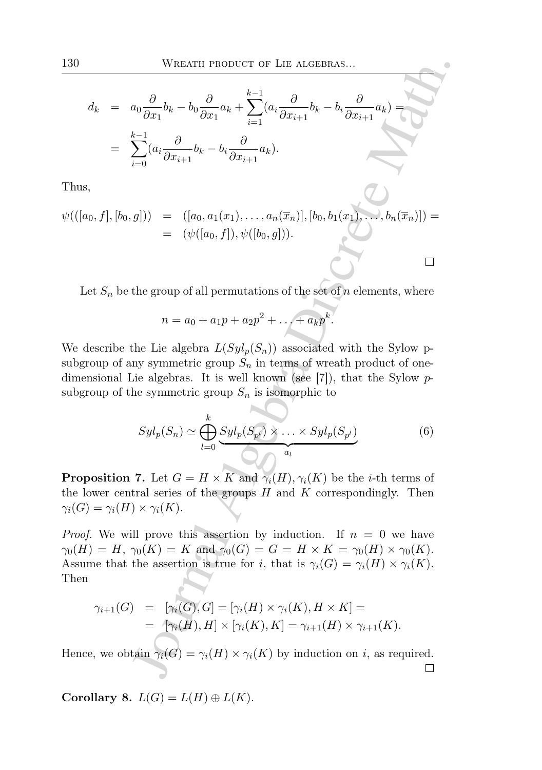**WEATH** PRODUT OF LIE ALGEBRAS...  
\n
$$
d_k = a_0 \frac{\partial}{\partial x_1} b_k - b_0 \frac{\partial}{\partial x_1} a_k + \sum_{i=1}^{k-1} (a_i \frac{\partial}{\partial x_{i+1}} b_k - b_i \frac{\partial}{\partial x_{i+1}} a_k)
$$
\n
$$
= \sum_{i=0}^{k-1} (a_i \frac{\partial}{\partial x_{i+1}} b_k - b_i \frac{\partial}{\partial x_{i+1}} a_k).
$$
\n
$$
a_0, f], [b_0, g]) = ([a_0, a_1(x_1), \dots, a_n(\overline{x}_n)], [b_0, b_1(x_1), \dots, b_n(\overline{x}_n)]) =
$$
\n
$$
= (\psi([a_0, f]), \psi([b_0, g])).
$$
\nLet  $S_n$  be the group of all permutations of the set of *n* elements, where  $n = a_0 + a_1 p + a_2 p^2 + \dots + a_k p^k$ .  
\nlescribe the Lie algebra  $L(Syl_p(S_n))$  associated with the Sylow p-  
\nroup of any symmetric group  $S_n$  in terms of weath product of one-  
\nnsional Lie algebras. It is well known (see [7]), that the Sylow *p*-  
\noup of the symmetric group  $S_n$  is isomorphic to  
\n
$$
Syl_p(S_n) \simeq \bigoplus_{l=0}^k \underbrace{Syl_p(S_{p^l})}_{a_l} \times \dots \times Syl_p(S_{p^l})}
$$
\n
$$
= \gamma_i(H) \times \gamma_i(K).
$$
\n
$$
f.
$$
 We will prove this assertion by induction. If  $n = 0$  we have  
\n
$$
= \gamma_i(H) \times \gamma_i(K).
$$
\n
$$
f.
$$
 We will prove this assertion by induction. If  $n = 0$  we have  
\n
$$
= H, \gamma_0(K) = K
$$
 and  $\gamma_0(G) = G = H \times K = \gamma_0(H) \times \gamma_0(K).$ \n
$$
\gamma_{i+1}(G) = [\gamma_i(G), G] = [\gamma_i(H) \times \gamma_i(K), H \times K] =
$$
\n
$$
= [\gamma_i(H), H] \times [\gamma_i(K), K] = \gamma_{i+1}(H) \times \gamma_i(K).
$$
\n<math display="</b>

Thus,

$$
\psi(([a_0, f], [b_0, g])) = ([a_0, a_1(x_1), \ldots, a_n(\overline{x}_n)], [b_0, b_1(x_1), \ldots, b_n(\overline{x}_n)]) = (\psi([a_0, f]), \psi([b_0, g]))
$$

Let  $S_n$  be the group of all permutations of the set of n elements, where

$$
n = a_0 + a_1 p + a_2 p^2 + \ldots + a_k p^k.
$$

We describe the Lie algebra  $L(Syl_p(S_n))$  associated with the Sylow psubgroup of any symmetric group  $S_n$  in terms of wreath product of onedimensional Lie algebras. It is well known (see [7]), that the Sylow psubgroup of the symmetric group  $S_n$  is isomorphic to

$$
Syl_p(S_n) \simeq \bigoplus_{l=0}^k \underbrace{Syl_p(S_{p^l}) \times \ldots \times Syl_p(S_{p^l})}_{a_l} \tag{6}
$$

**Proposition 7.** Let  $G = H \times K$  and  $\gamma_i(H), \gamma_i(K)$  be the *i*-th terms of the lower central series of the groups  $H$  and  $K$  correspondingly. Then  $\gamma_i(G) = \gamma_i(H) \times \gamma_i(K).$ 

*Proof.* We will prove this assertion by induction. If  $n = 0$  we have  $\gamma_0(H) = H$ ,  $\gamma_0(K) = K$  and  $\gamma_0(G) = G = H \times K = \gamma_0(H) \times \gamma_0(K)$ . Assume that the assertion is true for i, that is  $\gamma_i(G) = \gamma_i(H) \times \gamma_i(K)$ . Then

$$
\gamma_{i+1}(G) = [\gamma_i(G), G] = [\gamma_i(H) \times \gamma_i(K), H \times K] =
$$
  
= { $\gamma_i(H), H] \times [\gamma_i(K), K] = \gamma_{i+1}(H) \times \gamma_{i+1}(K).$ 

Hence, we obtain  $\gamma_i(G) = \gamma_i(H) \times \gamma_i(K)$  by induction on *i*, as required.

Corollary 8.  $L(G) = L(H) \oplus L(K)$ .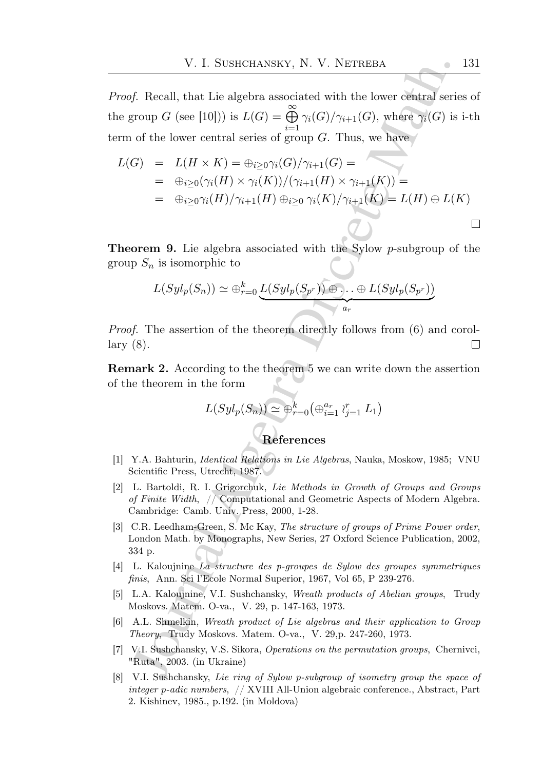Proof. Recall, that Lie algebra associated with the lower central series of the group G (see [10])) is  $L(G) = \bigoplus_{n=1}^{\infty} L(n)$  $i=1$  $\gamma_i(G)/\gamma_{i+1}(G)$ , where  $\gamma_i(G)$  is i-th term of the lower central series of group  $G$ . Thus, we have

V. I. SUSHCHANSKY, N. V. NETREBA  
\n*Proof.* Recall, that Lie algebra associated with the lower central series of  
\nne group G (see [10])) is 
$$
L(G) = \bigoplus_{i=1}^{\infty} \gamma_i(G)/\gamma_{i+1}(G)
$$
, where  $\gamma_i(G)$  is i-th  
\nterm of the lower central series of group G. Thus, we have  
\n
$$
L(G) = L(H \times K) = \bigoplus_{i\geq 0} \gamma_i(G)/\gamma_{i+1}(G) =
$$
\n
$$
= \bigoplus_{i\geq 0} \gamma_i(K)/(\gamma_{i+1}(H) \times \gamma_{i+1}(K)) =
$$
\n
$$
= \bigoplus_{i\geq 0} \gamma_i(H)/\gamma_{i+1}(H) \bigoplus_{i\geq 0} \gamma_i(K)/\gamma_{i+1}(K) = L(H) \oplus L(K)
$$
\n**Theorem 9.** Lie algebra associated with the Sylow *p*-subgroup of the  
\nroup *S<sub>n</sub>* is isomorphic to  
\n
$$
L(Syl_p(S_n)) \simeq \bigoplus_{r=0}^k L(Syl_p(S_{p^r})) \oplus \ldots \oplus L(Syl_p(S_{p^r}))
$$
\n*or*\n*Proof.* The assertion of the theorem directly follows from (6) and corol-  
\nary (8).  
\n**Remark 2.** According to the theorem directly follows from (6) and corol-  
\nary (8).  
\n**Remark 2.** According to the theorem 5 we can write down the assertion  
\nthe theorem in the form  
\n
$$
L(Syl_p(S_n)) \simeq \bigoplus_{r=0}^k (\bigoplus_{i=1}^n \gamma_{i-1}^r L_1)
$$
\n**References**  
\n1] Y.A. Bahturn, *Identical Relations in Lie Algebra*, Nauka, Moskow, 1985; VNU  
\nScientific Press, Utrecht, 1987.  
\n2] L. Bartoldi, R. I. Grigorchuk, *Lie Methods in Growth of Groups and Groups  
\nof Finite Press, Utech, LMS, The structure of groups of Prime Power order,  
\nLondon Math. by Monographs, New Series, 27 Oxford Science Publications, 2002,  
\n33 C.R. Leedham-Green, S. Me Kay, *The structure of groups of Prime Power order,*  
\nLondon Math. by Monographs, New Series, 27 Oxford Science Publications, 2002,  
\*

Theorem 9. Lie algebra associated with the Sylow p-subgroup of the group  $S_n$  is isomorphic to

$$
L(Syl_p(S_n)) \simeq \bigoplus_{r=0}^k \underbrace{L(Syl_p(S_{p^r})) \oplus \ldots \oplus L(Syl_p(S_{p^r}))}_{a_r}
$$

Proof. The assertion of the theorem directly follows from (6) and corol $lary(8)$ .  $\Box$ 

Remark 2. According to the theorem 5 we can write down the assertion of the theorem in the form

$$
L(Syl_p(S_n)) \simeq \bigoplus_{r=0}^k \left(\bigoplus_{i=1}^{a_r} l_{j=1}^r L_1\right)
$$
  
References

- [1] Y.A. Bahturin, Identical Relations in Lie Algebras, Nauka, Moskow, 1985; VNU Scientific Press, Utrecht, 1987.
- [2] L. Bartoldi, R. I. Grigorchuk, Lie Methods in Growth of Groups and Groups of Finite Width, // Computational and Geometric Aspects of Modern Algebra. Cambridge: Camb. Univ. Press, 2000, 1-28.
- [3] C.R. Leedham-Green, S. Mc Kay, The structure of groups of Prime Power order, London Math. by Monographs, New Series, 27 Oxford Science Publication, 2002, 334 p.
- [4] L. Kaloujnine La structure des p-groupes de Sylow des groupes symmetriques finis, Ann. Sci l'Ecole Normal Superior, 1967, Vol 65, P 239-276.
- [5] L.A. Kaloujnine, V.I. Sushchansky, Wreath products of Abelian groups, Trudy Moskovs. Matem. O-va., V. 29, p. 147-163, 1973.
- [6] A.L. Shmelkin, Wreath product of Lie algebras and their application to Group Theory, Trudy Moskovs. Matem. O-va., V. 29,p. 247-260, 1973.
- [7] V.I. Sushchansky, V.S. Sikora, *Operations on the permutation groups*, Chernivci, "Ruta", 2003. (in Ukraine)
- [8] V.I. Sushchansky, Lie ring of Sylow p-subgroup of isometry group the space of integer p-adic numbers, // XVIII All-Union algebraic conference., Abstract, Part 2. Kishinev, 1985., p.192. (in Moldova)